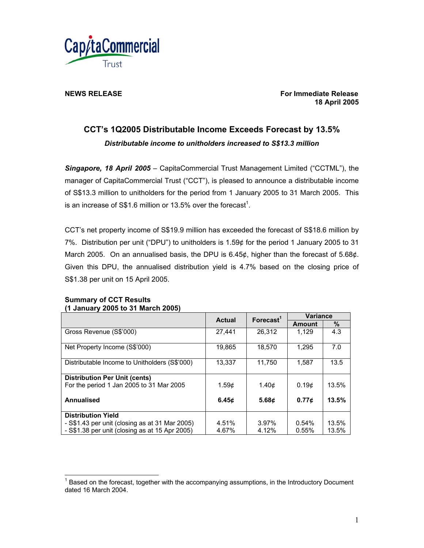

**NEWS RELEASE** For Immediate Release **For Immediate Release 18 April 2005** 

# **CCT's 1Q2005 Distributable Income Exceeds Forecast by 13.5%**  *Distributable income to unitholders increased to S\$13.3 million*

*Singapore, 18 April 2005* – CapitaCommercial Trust Management Limited ("CCTML"), the manager of CapitaCommercial Trust ("CCT"), is pleased to announce a distributable income of S\$13.3 million to unitholders for the period from 1 January 2005 to 31 March 2005. This is an increase of S\$1.6 million or 13.5% over the forecast<sup>1</sup>.

CCT's net property income of S\$19.9 million has exceeded the forecast of S\$18.6 million by 7%. Distribution per unit ("DPU") to unitholders is 1.59¢ for the period 1 January 2005 to 31 March 2005. On an annualised basis, the DPU is 6.45¢, higher than the forecast of 5.68¢. Given this DPU, the annualised distribution yield is 4.7% based on the closing price of S\$1.38 per unit on 15 April 2005.

### **Summary of CCT Results (1 January 2005 to 31 March 2005)**

 $\overline{a}$ 

|                                                | <b>Actual</b>     | Forecast <sup>1</sup> | <b>Variance</b> |       |
|------------------------------------------------|-------------------|-----------------------|-----------------|-------|
|                                                |                   |                       | <b>Amount</b>   | %     |
| Gross Revenue (S\$'000)                        | 27.441            | 26.312                | 1.129           | 4.3   |
| Net Property Income (S\$'000)                  | 19,865            | 18.570                | 1,295           | 7.0   |
| Distributable Income to Unitholders (S\$'000)  | 13,337            | 11,750                | 1,587           | 13.5  |
| <b>Distribution Per Unit (cents)</b>           |                   |                       |                 |       |
| For the period 1 Jan 2005 to 31 Mar 2005       | 1.59 <sub>¢</sub> | 1.40 <sub>c</sub>     | 0.19¢           | 13.5% |
| Annualised                                     | 6.45c             | 5.68c                 | 0.77c           | 13.5% |
| <b>Distribution Yield</b>                      |                   |                       |                 |       |
| - S\$1.43 per unit (closing as at 31 Mar 2005) | 4.51%             | 3.97%                 | 0.54%           | 13.5% |
| - S\$1.38 per unit (closing as at 15 Apr 2005) | 4.67%             | 4.12%                 | 0.55%           | 13.5% |

 $1$  Based on the forecast, together with the accompanying assumptions, in the Introductory Document dated 16 March 2004.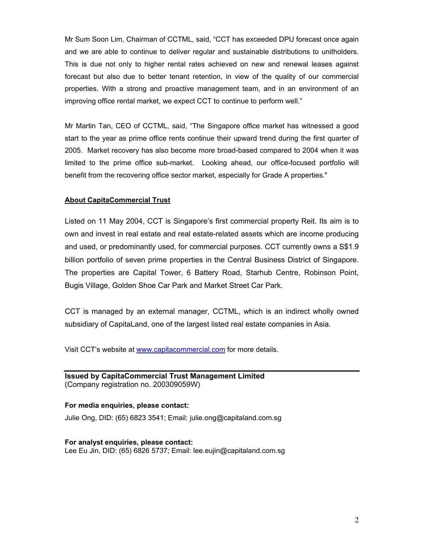Mr Sum Soon Lim, Chairman of CCTML, said, "CCT has exceeded DPU forecast once again and we are able to continue to deliver regular and sustainable distributions to unitholders. This is due not only to higher rental rates achieved on new and renewal leases against forecast but also due to better tenant retention, in view of the quality of our commercial properties. With a strong and proactive management team, and in an environment of an improving office rental market, we expect CCT to continue to perform well."

Mr Martin Tan, CEO of CCTML, said, "The Singapore office market has witnessed a good start to the year as prime office rents continue their upward trend during the first quarter of 2005. Market recovery has also become more broad-based compared to 2004 when it was limited to the prime office sub-market. Looking ahead, our office-focused portfolio will benefit from the recovering office sector market, especially for Grade A properties."

# **About CapitaCommercial Trust**

Listed on 11 May 2004, CCT is Singapore's first commercial property Reit. Its aim is to own and invest in real estate and real estate-related assets which are income producing and used, or predominantly used, for commercial purposes. CCT currently owns a S\$1.9 billion portfolio of seven prime properties in the Central Business District of Singapore. The properties are Capital Tower, 6 Battery Road, Starhub Centre, Robinson Point, Bugis Village, Golden Shoe Car Park and Market Street Car Park.

CCT is managed by an external manager, CCTML, which is an indirect wholly owned subsidiary of CapitaLand, one of the largest listed real estate companies in Asia.

Visit CCT's website at www.capitacommercial.com for more details.

# **Issued by CapitaCommercial Trust Management Limited**  (Company registration no. 200309059W)

### **For media enquiries, please contact:**

Julie Ong, DID: (65) 6823 3541; Email: julie.ong@capitaland.com.sg

**For analyst enquiries, please contact:**  Lee Eu Jin, DID: (65) 6826 5737; Email: lee.eujin@capitaland.com.sg